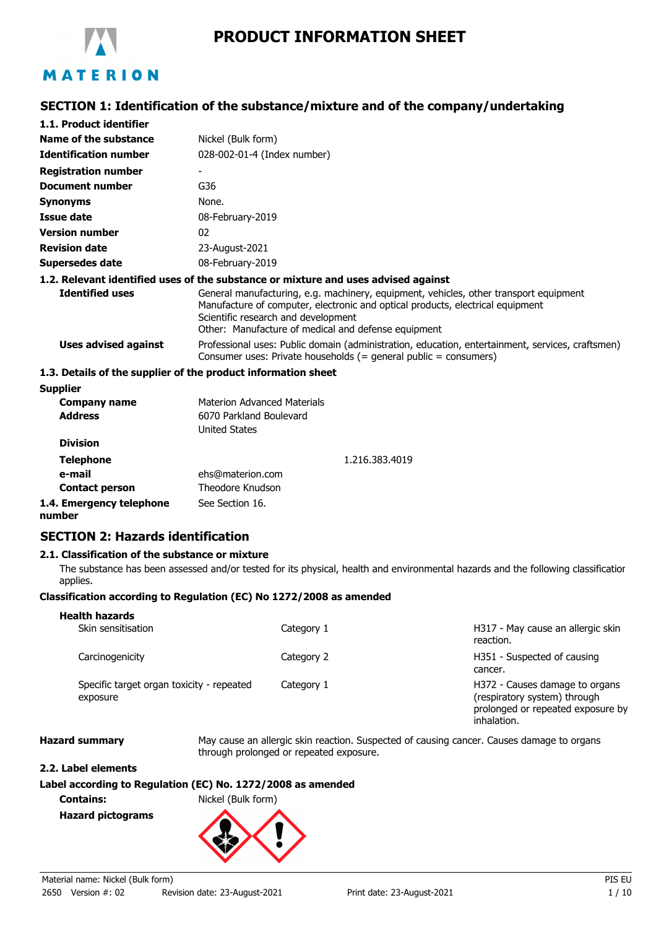

# **PRODUCT INFORMATION SHEET**

## **SECTION 1: Identification of the substance/mixture and of the company/undertaking**

| 1.1. Product identifier      |                                                                                                                                                                                                                                                                       |
|------------------------------|-----------------------------------------------------------------------------------------------------------------------------------------------------------------------------------------------------------------------------------------------------------------------|
| Name of the substance        | Nickel (Bulk form)                                                                                                                                                                                                                                                    |
| <b>Identification number</b> | 028-002-01-4 (Index number)                                                                                                                                                                                                                                           |
| <b>Registration number</b>   | $\qquad \qquad \blacksquare$                                                                                                                                                                                                                                          |
| Document number              | G36                                                                                                                                                                                                                                                                   |
| Synonyms                     | None.                                                                                                                                                                                                                                                                 |
| Issue date                   | 08-February-2019                                                                                                                                                                                                                                                      |
| <b>Version number</b>        | 02                                                                                                                                                                                                                                                                    |
| <b>Revision date</b>         | 23-August-2021                                                                                                                                                                                                                                                        |
| Supersedes date              | 08-February-2019                                                                                                                                                                                                                                                      |
|                              | 1.2. Relevant identified uses of the substance or mixture and uses advised against                                                                                                                                                                                    |
| <b>Identified uses</b>       | General manufacturing, e.g. machinery, equipment, vehicles, other transport equipment<br>Manufacture of computer, electronic and optical products, electrical equipment<br>Scientific research and development<br>Other: Manufacture of medical and defense equipment |
| Uses advised against         | Professional uses: Public domain (administration, education, entertainment, services, craftsmen)<br>Consumer uses: Private households $(=$ general public $=$ consumers)                                                                                              |
|                              | 1.3. Details of the supplier of the product information sheet                                                                                                                                                                                                         |
| <b>Supplier</b>              |                                                                                                                                                                                                                                                                       |

| <b>Company name</b><br><b>Address</b> | <b>Materion Advanced Materials</b><br>6070 Parkland Boulevard<br><b>United States</b> |                |
|---------------------------------------|---------------------------------------------------------------------------------------|----------------|
| <b>Division</b>                       |                                                                                       |                |
| <b>Telephone</b>                      |                                                                                       | 1.216.383.4019 |
| e-mail                                | ehs@materion.com                                                                      |                |
| <b>Contact person</b>                 | Theodore Knudson                                                                      |                |
| 1.4. Emergency telephone<br>numher    | See Section 16.                                                                       |                |

**number**

# **SECTION 2: Hazards identification**

## **2.1. Classification of the substance or mixture**

The substance has been assessed and/or tested for its physical, health and environmental hazards and the following classification applies.

## **Classification according to Regulation (EC) No 1272/2008 as amended**

#### H317 - May cause an allergic skin reaction. Skin sensitisation and the category 1 **Health hazards** H351 - Suspected of causing cancer. Carcinogenicity **Carcinogenicity Category 2** H372 - Causes damage to organs (respiratory system) through prolonged or repeated exposure by inhalation. Specific target organ toxicity - repeated Category 1 exposure

**Hazard summary** May cause an allergic skin reaction. Suspected of causing cancer. Causes damage to organs through prolonged or repeated exposure.

#### **2.2. Label elements**

## **Label according to Regulation (EC) No. 1272/2008 as amended**

**Contains:** Nickel (Bulk form) **Hazard pictograms**

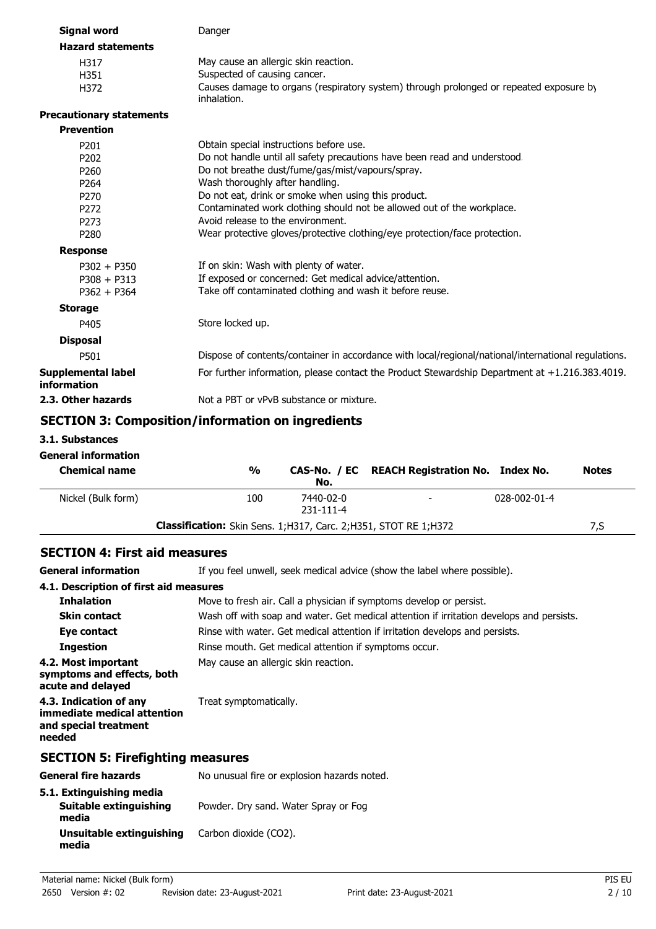| <b>Signal word</b>                                                                                                                                                                                         | Danger                                                                                                                                                                                                                                                                                                                                                                                                                                                                                                                                                                                                                          |
|------------------------------------------------------------------------------------------------------------------------------------------------------------------------------------------------------------|---------------------------------------------------------------------------------------------------------------------------------------------------------------------------------------------------------------------------------------------------------------------------------------------------------------------------------------------------------------------------------------------------------------------------------------------------------------------------------------------------------------------------------------------------------------------------------------------------------------------------------|
| <b>Hazard statements</b>                                                                                                                                                                                   |                                                                                                                                                                                                                                                                                                                                                                                                                                                                                                                                                                                                                                 |
| H317<br>H351<br>H372                                                                                                                                                                                       | May cause an allergic skin reaction.<br>Suspected of causing cancer.<br>Causes damage to organs (respiratory system) through prolonged or repeated exposure by<br>inhalation.                                                                                                                                                                                                                                                                                                                                                                                                                                                   |
| <b>Precautionary statements</b>                                                                                                                                                                            |                                                                                                                                                                                                                                                                                                                                                                                                                                                                                                                                                                                                                                 |
| <b>Prevention</b>                                                                                                                                                                                          |                                                                                                                                                                                                                                                                                                                                                                                                                                                                                                                                                                                                                                 |
| P201<br>P <sub>202</sub><br>P260<br>P <sub>264</sub><br>P <sub>270</sub><br>P <sub>272</sub><br>P <sub>273</sub><br>P <sub>280</sub><br><b>Response</b><br>$P302 + P350$<br>$P308 + P313$<br>$P362 + P364$ | Obtain special instructions before use.<br>Do not handle until all safety precautions have been read and understood.<br>Do not breathe dust/fume/gas/mist/vapours/spray.<br>Wash thoroughly after handling.<br>Do not eat, drink or smoke when using this product.<br>Contaminated work clothing should not be allowed out of the workplace.<br>Avoid release to the environment.<br>Wear protective gloves/protective clothing/eye protection/face protection.<br>If on skin: Wash with plenty of water.<br>If exposed or concerned: Get medical advice/attention.<br>Take off contaminated clothing and wash it before reuse. |
| <b>Storage</b>                                                                                                                                                                                             |                                                                                                                                                                                                                                                                                                                                                                                                                                                                                                                                                                                                                                 |
| P405                                                                                                                                                                                                       | Store locked up.                                                                                                                                                                                                                                                                                                                                                                                                                                                                                                                                                                                                                |
| <b>Disposal</b>                                                                                                                                                                                            |                                                                                                                                                                                                                                                                                                                                                                                                                                                                                                                                                                                                                                 |
| P501                                                                                                                                                                                                       | Dispose of contents/container in accordance with local/regional/national/international regulations.                                                                                                                                                                                                                                                                                                                                                                                                                                                                                                                             |
| <b>Supplemental label</b><br>information                                                                                                                                                                   | For further information, please contact the Product Stewardship Department at +1.216.383.4019.                                                                                                                                                                                                                                                                                                                                                                                                                                                                                                                                  |
| 2.3. Other hazards                                                                                                                                                                                         | Not a PBT or vPvB substance or mixture.                                                                                                                                                                                                                                                                                                                                                                                                                                                                                                                                                                                         |
|                                                                                                                                                                                                            |                                                                                                                                                                                                                                                                                                                                                                                                                                                                                                                                                                                                                                 |

# **SECTION 3: Composition/information on ingredients**

**3.1. Substances**

**media**

# **General information**

| <b>Chemical name</b> | $\frac{0}{0}$                                                             | No.                    | CAS-No. / EC REACH Registration No. Index No. |              | <b>Notes</b> |
|----------------------|---------------------------------------------------------------------------|------------------------|-----------------------------------------------|--------------|--------------|
| Nickel (Bulk form)   | 100                                                                       | 7440-02-0<br>231-111-4 |                                               | 028-002-01-4 |              |
|                      | <b>Classification:</b> Skin Sens. 1; H317, Carc. 2; H351, STOT RE 1; H372 |                        |                                               |              | 7,S          |

# **SECTION 4: First aid measures**

General information **If** you feel unwell, seek medical advice (show the label where possible).

| 4.1. Description of first aid measures                                                   |                                                                                          |  |  |
|------------------------------------------------------------------------------------------|------------------------------------------------------------------------------------------|--|--|
| <b>Inhalation</b>                                                                        | Move to fresh air. Call a physician if symptoms develop or persist.                      |  |  |
| <b>Skin contact</b>                                                                      | Wash off with soap and water. Get medical attention if irritation develops and persists. |  |  |
| Eye contact                                                                              | Rinse with water. Get medical attention if irritation develops and persists.             |  |  |
| <b>Ingestion</b>                                                                         | Rinse mouth. Get medical attention if symptoms occur.                                    |  |  |
| 4.2. Most important<br>symptoms and effects, both<br>acute and delayed                   | May cause an allergic skin reaction.                                                     |  |  |
| 4.3. Indication of any<br>immediate medical attention<br>and special treatment<br>needed | Treat symptomatically.                                                                   |  |  |
| <b>SECTION 5: Firefighting measures</b>                                                  |                                                                                          |  |  |
| <b>General fire hazards</b>                                                              | No unusual fire or explosion hazards noted.                                              |  |  |
| 5.1. Extinguishing media<br>Suitable extinguishing<br>media                              | Powder. Dry sand. Water Spray or Fog                                                     |  |  |

**Unsuitable extinguishing** Carbon dioxide (CO2).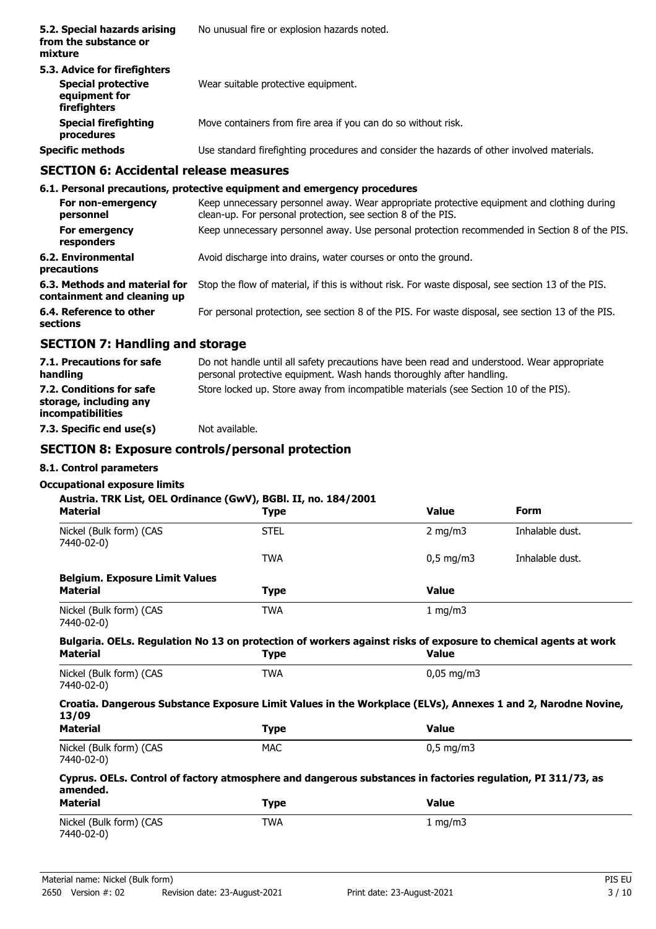| 5.2. Special hazards arising<br>from the substance or<br>mixture                           | No unusual fire or explosion hazards noted.                                                |
|--------------------------------------------------------------------------------------------|--------------------------------------------------------------------------------------------|
| 5.3. Advice for firefighters<br><b>Special protective</b><br>equipment for<br>firefighters | Wear suitable protective equipment.                                                        |
| <b>Special firefighting</b><br>procedures                                                  | Move containers from fire area if you can do so without risk.                              |
| <b>Specific methods</b>                                                                    | Use standard firefighting procedures and consider the hazards of other involved materials. |
| CECTION E. Accidental velopes measures                                                     |                                                                                            |

## **SECTION 6: Accidental release measures**

|                                                              | 6.1. Personal precautions, protective equipment and emergency procedures                                                                                   |
|--------------------------------------------------------------|------------------------------------------------------------------------------------------------------------------------------------------------------------|
| For non-emergency<br>personnel                               | Keep unnecessary personnel away. Wear appropriate protective equipment and clothing during<br>clean-up. For personal protection, see section 8 of the PIS. |
| For emergency<br>responders                                  | Keep unnecessary personnel away. Use personal protection recommended in Section 8 of the PIS.                                                              |
| 6.2. Environmental<br>precautions                            | Avoid discharge into drains, water courses or onto the ground.                                                                                             |
| 6.3. Methods and material for<br>containment and cleaning up | Stop the flow of material, if this is without risk. For waste disposal, see section 13 of the PIS.                                                         |
| 6.4. Reference to other<br>sections                          | For personal protection, see section 8 of the PIS. For waste disposal, see section 13 of the PIS.                                                          |
| <b>SECTION 7: Handling and storage</b>                       |                                                                                                                                                            |

#### Do not handle until all safety precautions have been read and understood. Wear appropriate personal protective equipment. Wash hands thoroughly after handling. **7.1. Precautions for safe handling 7.2. Conditions for safe** Store locked up. Store away from incompatible materials (see Section 10 of the PIS). **storage, including any incompatibilities 7.3. Specific end use(s)** Not available.

## **SECTION 8: Exposure controls/personal protection**

## **8.1. Control parameters**

# **Occupational exposure limits**

## **Austria. TRK List, OEL Ordinance (GwV), BGBl. II, no. 184/2001**

| Austria. TRK List, OEL Ordinance (GwV), BGBI. II, no. 184/2001<br><b>Material</b>                                          | Type        | <b>Value</b>           | <b>Form</b>     |  |
|----------------------------------------------------------------------------------------------------------------------------|-------------|------------------------|-----------------|--|
| Nickel (Bulk form) (CAS<br>7440-02-0)                                                                                      | <b>STEL</b> | 2 mg/m $3$             | Inhalable dust. |  |
|                                                                                                                            | <b>TWA</b>  | $0.5 \text{ mg/m}$     | Inhalable dust. |  |
| <b>Belgium. Exposure Limit Values</b>                                                                                      |             |                        |                 |  |
| <b>Material</b>                                                                                                            | <b>Type</b> | <b>Value</b>           |                 |  |
| Nickel (Bulk form) (CAS<br>7440-02-0)                                                                                      | <b>TWA</b>  | 1 mg/m3                |                 |  |
| Bulgaria. OELs. Regulation No 13 on protection of workers against risks of exposure to chemical agents at work<br>Material | Type        | <b>Value</b>           |                 |  |
| Nickel (Bulk form) (CAS<br>7440-02-0)                                                                                      | <b>TWA</b>  | $0,05 \,\mathrm{mg/m}$ |                 |  |
| Croatia. Dangerous Substance Exposure Limit Values in the Workplace (ELVs), Annexes 1 and 2, Narodne Novine,<br>13/09      |             |                        |                 |  |
| <b>Material</b>                                                                                                            | <b>Type</b> | <b>Value</b>           |                 |  |
| Nickel (Bulk form) (CAS<br>7440-02-0)                                                                                      | <b>MAC</b>  | $0,5$ mg/m3            |                 |  |
| Cyprus. OELs. Control of factory atmosphere and dangerous substances in factories regulation, PI 311/73, as<br>amended.    |             |                        |                 |  |
| <b>Material</b>                                                                                                            | <b>Type</b> | <b>Value</b>           |                 |  |
| Nickel (Bulk form) (CAS<br>7440-02-0)                                                                                      | <b>TWA</b>  | 1 mg/m3                |                 |  |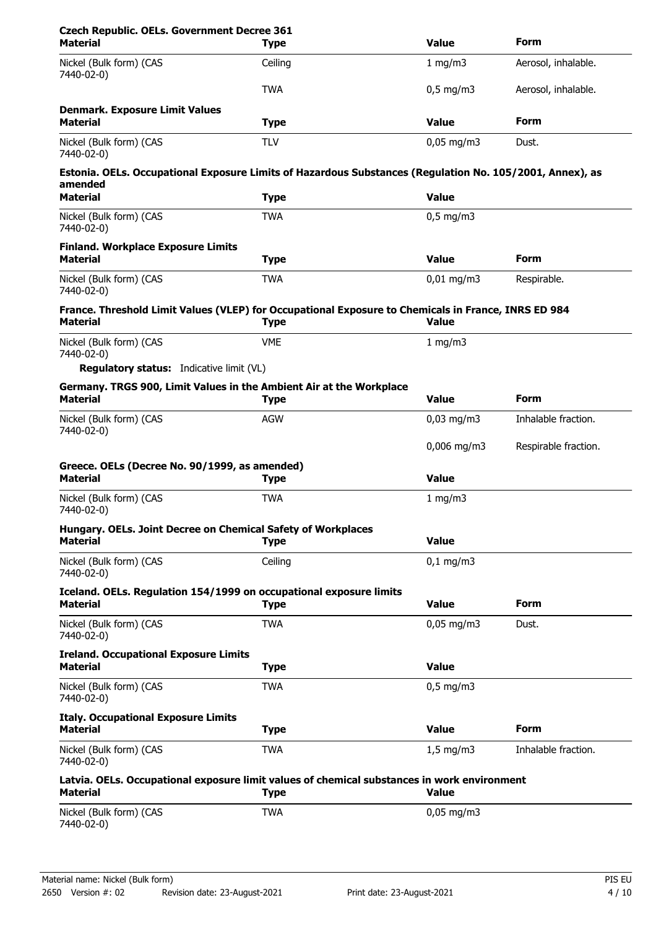| <b>Czech Republic. OELs. Government Decree 361</b><br><b>Material</b>                                                  | <b>Type</b> | <b>Value</b>          | <b>Form</b>          |
|------------------------------------------------------------------------------------------------------------------------|-------------|-----------------------|----------------------|
| Nickel (Bulk form) (CAS<br>7440-02-0)                                                                                  | Ceiling     | 1 mg/m3               | Aerosol, inhalable.  |
|                                                                                                                        | <b>TWA</b>  | $0,5$ mg/m3           | Aerosol, inhalable.  |
| <b>Denmark. Exposure Limit Values</b><br><b>Material</b>                                                               | <b>Type</b> | <b>Value</b>          | <b>Form</b>          |
| Nickel (Bulk form) (CAS<br>7440-02-0)                                                                                  | <b>TLV</b>  | $0.05$ mg/m3          | Dust.                |
| Estonia. OELs. Occupational Exposure Limits of Hazardous Substances (Regulation No. 105/2001, Annex), as<br>amended    |             |                       |                      |
| <b>Material</b>                                                                                                        | <b>Type</b> | <b>Value</b>          |                      |
| Nickel (Bulk form) (CAS<br>7440-02-0)                                                                                  | <b>TWA</b>  | $0,5$ mg/m3           |                      |
| <b>Finland. Workplace Exposure Limits</b><br><b>Material</b>                                                           | <b>Type</b> | <b>Value</b>          | <b>Form</b>          |
| Nickel (Bulk form) (CAS<br>7440-02-0)                                                                                  | <b>TWA</b>  | $0,01$ mg/m3          | Respirable.          |
| France. Threshold Limit Values (VLEP) for Occupational Exposure to Chemicals in France, INRS ED 984<br><b>Material</b> | <b>Type</b> | <b>Value</b>          |                      |
| Nickel (Bulk form) (CAS<br>7440-02-0)                                                                                  | <b>VME</b>  | 1 mg/m3               |                      |
| <b>Regulatory status:</b> Indicative limit (VL)                                                                        |             |                       |                      |
| Germany. TRGS 900, Limit Values in the Ambient Air at the Workplace<br><b>Material</b>                                 | <b>Type</b> | <b>Value</b>          | Form                 |
| Nickel (Bulk form) (CAS                                                                                                | <b>AGW</b>  | $0,03$ mg/m3          | Inhalable fraction.  |
| 7440-02-0)                                                                                                             |             | $0,006$ mg/m3         | Respirable fraction. |
| Greece. OELs (Decree No. 90/1999, as amended)<br><b>Material</b>                                                       | <b>Type</b> | <b>Value</b>          |                      |
| Nickel (Bulk form) (CAS<br>7440-02-0)                                                                                  | <b>TWA</b>  | 1 mg/m3               |                      |
| Hungary. OELs. Joint Decree on Chemical Safety of Workplaces<br><b>Material</b>                                        | <b>Type</b> | <b>Value</b>          |                      |
| Nickel (Bulk form) (CAS<br>7440-02-0)                                                                                  | Ceiling     | $0,1$ mg/m3           |                      |
| Iceland. OELs. Regulation 154/1999 on occupational exposure limits<br><b>Material</b>                                  | <b>Type</b> | <b>Value</b>          | Form                 |
| Nickel (Bulk form) (CAS<br>7440-02-0)                                                                                  | <b>TWA</b>  | $0,05$ mg/m3<br>Dust. |                      |
| <b>Ireland. Occupational Exposure Limits</b><br>Material                                                               | <b>Type</b> | <b>Value</b>          |                      |
| Nickel (Bulk form) (CAS<br>7440-02-0)                                                                                  | <b>TWA</b>  | $0,5$ mg/m3           |                      |
| <b>Italy. Occupational Exposure Limits</b><br><b>Material</b>                                                          | <b>Type</b> | <b>Value</b>          | Form                 |
| Nickel (Bulk form) (CAS<br>7440-02-0)                                                                                  | <b>TWA</b>  | $1,5$ mg/m3           | Inhalable fraction.  |
| Latvia. OELs. Occupational exposure limit values of chemical substances in work environment<br><b>Material</b>         | <b>Type</b> | <b>Value</b>          |                      |
| Nickel (Bulk form) (CAS                                                                                                | <b>TWA</b>  | $0,05$ mg/m3          |                      |
| 7440-02-0)                                                                                                             |             |                       |                      |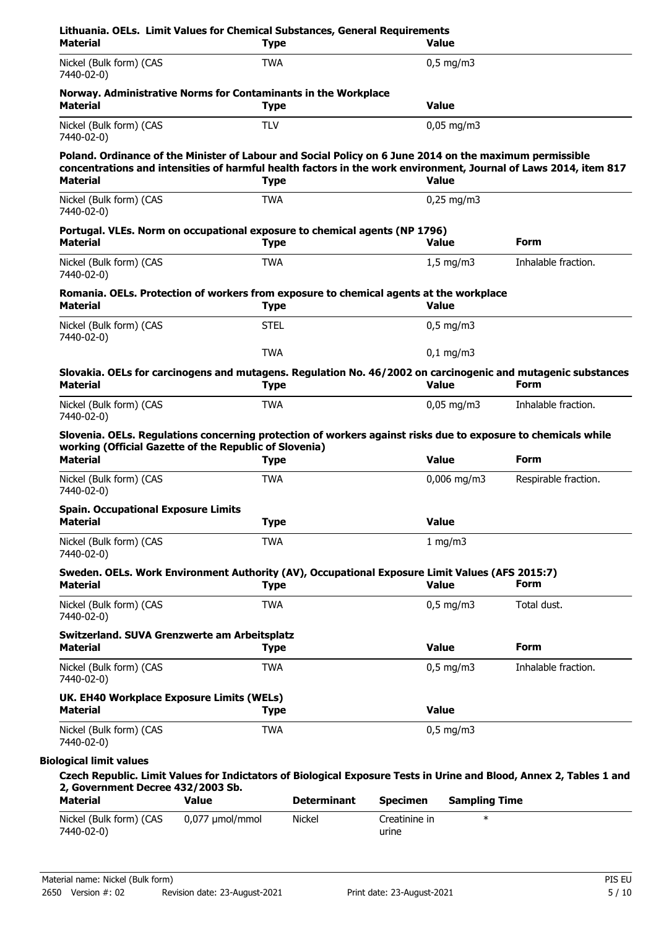| <b>Material</b>                                                                                                                                                                            | <b>Type</b>                                                                   |                    |                 | <b>Value</b>           |                                                                                                                             |
|--------------------------------------------------------------------------------------------------------------------------------------------------------------------------------------------|-------------------------------------------------------------------------------|--------------------|-----------------|------------------------|-----------------------------------------------------------------------------------------------------------------------------|
| Nickel (Bulk form) (CAS<br>7440-02-0)                                                                                                                                                      | <b>TWA</b>                                                                    |                    |                 | $0,5$ mg/m3            |                                                                                                                             |
| <b>Material</b>                                                                                                                                                                            | Norway. Administrative Norms for Contaminants in the Workplace<br><b>Type</b> |                    | <b>Value</b>    |                        |                                                                                                                             |
| Nickel (Bulk form) (CAS<br>7440-02-0)                                                                                                                                                      | <b>TLV</b>                                                                    |                    |                 | $0,05 \,\mathrm{mg/m}$ |                                                                                                                             |
| Poland. Ordinance of the Minister of Labour and Social Policy on 6 June 2014 on the maximum permissible<br><b>Material</b>                                                                 | <b>Type</b>                                                                   |                    | <b>Value</b>    |                        | concentrations and intensities of harmful health factors in the work environment, Journal of Laws 2014, item 817            |
| Nickel (Bulk form) (CAS                                                                                                                                                                    | <b>TWA</b>                                                                    |                    |                 | $0,25$ mg/m3           |                                                                                                                             |
| 7440-02-0)                                                                                                                                                                                 |                                                                               |                    |                 |                        |                                                                                                                             |
| Portugal. VLEs. Norm on occupational exposure to chemical agents (NP 1796)<br><b>Material</b>                                                                                              | <b>Type</b>                                                                   |                    | <b>Value</b>    |                        | Form                                                                                                                        |
| Nickel (Bulk form) (CAS<br>7440-02-0)                                                                                                                                                      | <b>TWA</b>                                                                    |                    |                 | $1,5$ mg/m3            | Inhalable fraction.                                                                                                         |
| Romania. OELs. Protection of workers from exposure to chemical agents at the workplace<br><b>Material</b>                                                                                  | <b>Type</b>                                                                   |                    | <b>Value</b>    |                        |                                                                                                                             |
| Nickel (Bulk form) (CAS<br>7440-02-0)                                                                                                                                                      | <b>STEL</b>                                                                   |                    |                 | $0,5$ mg/m3            |                                                                                                                             |
|                                                                                                                                                                                            | <b>TWA</b>                                                                    |                    |                 | $0,1$ mg/m3            |                                                                                                                             |
| <b>Material</b>                                                                                                                                                                            | <b>Type</b>                                                                   |                    | <b>Value</b>    |                        | Slovakia. OELs for carcinogens and mutagens. Regulation No. 46/2002 on carcinogenic and mutagenic substances<br><b>Form</b> |
| Nickel (Bulk form) (CAS<br>7440-02-0)                                                                                                                                                      | <b>TWA</b>                                                                    |                    |                 | $0,05$ mg/m3           | Inhalable fraction.                                                                                                         |
| Slovenia. OELs. Regulations concerning protection of workers against risks due to exposure to chemicals while<br>working (Official Gazette of the Republic of Slovenia)<br><b>Material</b> | <b>Type</b>                                                                   |                    | <b>Value</b>    |                        | <b>Form</b>                                                                                                                 |
| Nickel (Bulk form) (CAS<br>7440-02-0)                                                                                                                                                      | <b>TWA</b>                                                                    |                    |                 | $0,006$ mg/m3          | Respirable fraction.                                                                                                        |
| <b>Spain. Occupational Exposure Limits</b><br><b>Material</b>                                                                                                                              | <b>Type</b>                                                                   |                    | <b>Value</b>    |                        |                                                                                                                             |
| Nickel (Bulk form) (CAS<br>7440-02-0)                                                                                                                                                      | <b>TWA</b>                                                                    |                    |                 | 1 mg/m3                |                                                                                                                             |
| Sweden. OELs. Work Environment Authority (AV), Occupational Exposure Limit Values (AFS 2015:7)<br><b>Material</b>                                                                          | <b>Type</b>                                                                   |                    | <b>Value</b>    |                        | Form                                                                                                                        |
| Nickel (Bulk form) (CAS<br>7440-02-0)                                                                                                                                                      | <b>TWA</b>                                                                    |                    |                 | $0,5 \text{ mg/m}$     | Total dust.                                                                                                                 |
| Switzerland. SUVA Grenzwerte am Arbeitsplatz<br><b>Material</b>                                                                                                                            | <b>Type</b>                                                                   |                    | <b>Value</b>    |                        | <b>Form</b>                                                                                                                 |
| Nickel (Bulk form) (CAS<br>7440-02-0)                                                                                                                                                      | <b>TWA</b>                                                                    |                    |                 | $0,5$ mg/m3            | Inhalable fraction.                                                                                                         |
| UK. EH40 Workplace Exposure Limits (WELs)                                                                                                                                                  | <b>Type</b>                                                                   |                    | <b>Value</b>    |                        |                                                                                                                             |
| <b>Material</b>                                                                                                                                                                            |                                                                               |                    |                 | $0,5$ mg/m3            |                                                                                                                             |
| Nickel (Bulk form) (CAS<br>7440-02-0)                                                                                                                                                      | <b>TWA</b>                                                                    |                    |                 |                        |                                                                                                                             |
| <b>Biological limit values</b>                                                                                                                                                             |                                                                               |                    |                 |                        |                                                                                                                             |
| 2, Government Decree 432/2003 Sb.<br><b>Material</b>                                                                                                                                       | <b>Value</b>                                                                  | <b>Determinant</b> | <b>Specimen</b> | <b>Sampling Time</b>   | Czech Republic. Limit Values for Indictators of Biological Exposure Tests in Urine and Blood, Annex 2, Tables 1 and         |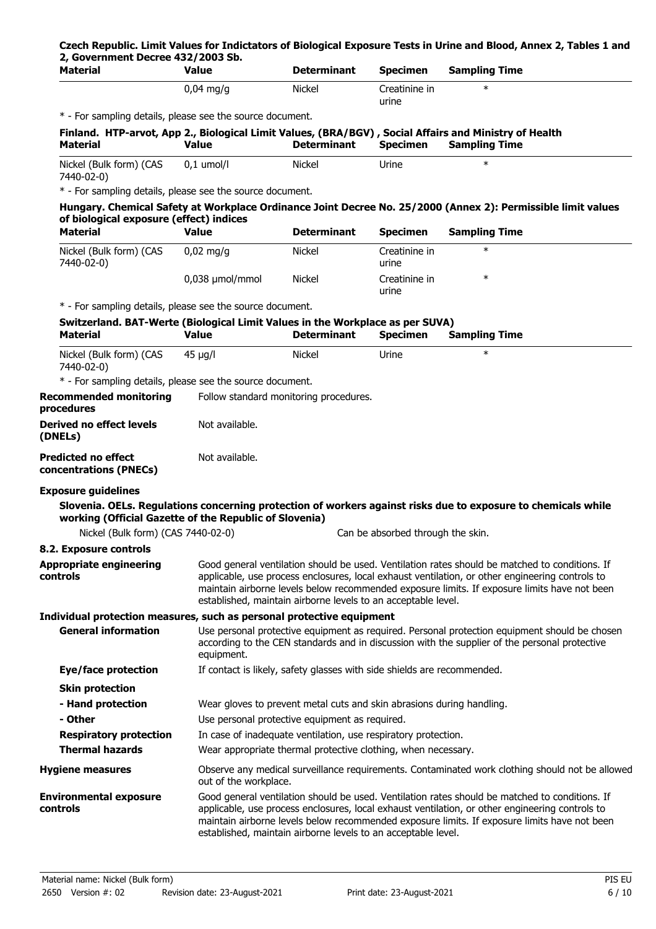## **Czech Republic. Limit Values for Indictators of Biological Exposure Tests in Urine and Blood, Annex 2, Tables 1 and 2, Government Decree 432/2003 Sb.**

| <b>Material</b>                                                               | Value                 | <b>Determinant</b>                                                      | <b>Specimen</b>                   | <b>Sampling Time</b>                                                                                                                                                                                                                                                                              |
|-------------------------------------------------------------------------------|-----------------------|-------------------------------------------------------------------------|-----------------------------------|---------------------------------------------------------------------------------------------------------------------------------------------------------------------------------------------------------------------------------------------------------------------------------------------------|
|                                                                               | $0,04$ mg/g           | <b>Nickel</b>                                                           | Creatinine in<br>urine            | $\ast$                                                                                                                                                                                                                                                                                            |
| * - For sampling details, please see the source document.                     |                       |                                                                         |                                   |                                                                                                                                                                                                                                                                                                   |
| <b>Material</b>                                                               | <b>Value</b>          | <b>Determinant</b>                                                      | <b>Specimen</b>                   | Finland. HTP-arvot, App 2., Biological Limit Values, (BRA/BGV), Social Affairs and Ministry of Health<br><b>Sampling Time</b>                                                                                                                                                                     |
| Nickel (Bulk form) (CAS<br>7440-02-0)                                         | $0,1$ umol/l          | <b>Nickel</b>                                                           | Urine                             | $\ast$                                                                                                                                                                                                                                                                                            |
| * - For sampling details, please see the source document.                     |                       |                                                                         |                                   |                                                                                                                                                                                                                                                                                                   |
|                                                                               |                       |                                                                         |                                   | Hungary. Chemical Safety at Workplace Ordinance Joint Decree No. 25/2000 (Annex 2): Permissible limit values                                                                                                                                                                                      |
| of biological exposure (effect) indices                                       |                       |                                                                         |                                   |                                                                                                                                                                                                                                                                                                   |
| <b>Material</b>                                                               | <b>Value</b>          | <b>Determinant</b>                                                      | <b>Specimen</b>                   | <b>Sampling Time</b>                                                                                                                                                                                                                                                                              |
| Nickel (Bulk form) (CAS<br>7440-02-0)                                         | $0,02$ mg/g           | Nickel                                                                  | Creatinine in<br>urine            | $\ast$                                                                                                                                                                                                                                                                                            |
|                                                                               | 0,038 µmol/mmol       | <b>Nickel</b>                                                           | Creatinine in<br>urine            | $\ast$                                                                                                                                                                                                                                                                                            |
| * - For sampling details, please see the source document.                     |                       |                                                                         |                                   |                                                                                                                                                                                                                                                                                                   |
| Switzerland. BAT-Werte (Biological Limit Values in the Workplace as per SUVA) |                       |                                                                         |                                   |                                                                                                                                                                                                                                                                                                   |
| <b>Material</b>                                                               | <b>Value</b>          | <b>Determinant</b>                                                      | <b>Specimen</b>                   | <b>Sampling Time</b>                                                                                                                                                                                                                                                                              |
| Nickel (Bulk form) (CAS<br>7440-02-0)                                         | $45 \mu g/l$          | <b>Nickel</b>                                                           | Urine                             | $\ast$                                                                                                                                                                                                                                                                                            |
| * - For sampling details, please see the source document.                     |                       |                                                                         |                                   |                                                                                                                                                                                                                                                                                                   |
| <b>Recommended monitoring</b><br>procedures                                   |                       | Follow standard monitoring procedures.                                  |                                   |                                                                                                                                                                                                                                                                                                   |
| <b>Derived no effect levels</b><br>(DNELs)                                    | Not available.        |                                                                         |                                   |                                                                                                                                                                                                                                                                                                   |
| <b>Predicted no effect</b><br>concentrations (PNECs)                          | Not available.        |                                                                         |                                   |                                                                                                                                                                                                                                                                                                   |
| <b>Exposure guidelines</b>                                                    |                       |                                                                         |                                   |                                                                                                                                                                                                                                                                                                   |
| working (Official Gazette of the Republic of Slovenia)                        |                       |                                                                         |                                   | Slovenia. OELs. Regulations concerning protection of workers against risks due to exposure to chemicals while                                                                                                                                                                                     |
| Nickel (Bulk form) (CAS 7440-02-0)                                            |                       |                                                                         | Can be absorbed through the skin. |                                                                                                                                                                                                                                                                                                   |
| 8.2. Exposure controls                                                        |                       |                                                                         |                                   |                                                                                                                                                                                                                                                                                                   |
| <b>Appropriate engineering</b><br>controls                                    |                       | established, maintain airborne levels to an acceptable level.           |                                   | Good general ventilation should be used. Ventilation rates should be matched to conditions. If<br>applicable, use process enclosures, local exhaust ventilation, or other engineering controls to<br>maintain airborne levels below recommended exposure limits. If exposure limits have not been |
| Individual protection measures, such as personal protective equipment         |                       |                                                                         |                                   |                                                                                                                                                                                                                                                                                                   |
| <b>General information</b>                                                    | equipment.            |                                                                         |                                   | Use personal protective equipment as required. Personal protection equipment should be chosen<br>according to the CEN standards and in discussion with the supplier of the personal protective                                                                                                    |
| Eye/face protection                                                           |                       | If contact is likely, safety glasses with side shields are recommended. |                                   |                                                                                                                                                                                                                                                                                                   |
| <b>Skin protection</b>                                                        |                       |                                                                         |                                   |                                                                                                                                                                                                                                                                                                   |
| - Hand protection                                                             |                       | Wear gloves to prevent metal cuts and skin abrasions during handling.   |                                   |                                                                                                                                                                                                                                                                                                   |
| - Other                                                                       |                       | Use personal protective equipment as required.                          |                                   |                                                                                                                                                                                                                                                                                                   |
| <b>Respiratory protection</b>                                                 |                       | In case of inadequate ventilation, use respiratory protection.          |                                   |                                                                                                                                                                                                                                                                                                   |
| <b>Thermal hazards</b>                                                        |                       | Wear appropriate thermal protective clothing, when necessary.           |                                   |                                                                                                                                                                                                                                                                                                   |
| <b>Hygiene measures</b>                                                       |                       |                                                                         |                                   | Observe any medical surveillance requirements. Contaminated work clothing should not be allowed                                                                                                                                                                                                   |
|                                                                               | out of the workplace. |                                                                         |                                   |                                                                                                                                                                                                                                                                                                   |
| <b>Environmental exposure</b><br>controls                                     |                       | established, maintain airborne levels to an acceptable level.           |                                   | Good general ventilation should be used. Ventilation rates should be matched to conditions. If<br>applicable, use process enclosures, local exhaust ventilation, or other engineering controls to<br>maintain airborne levels below recommended exposure limits. If exposure limits have not been |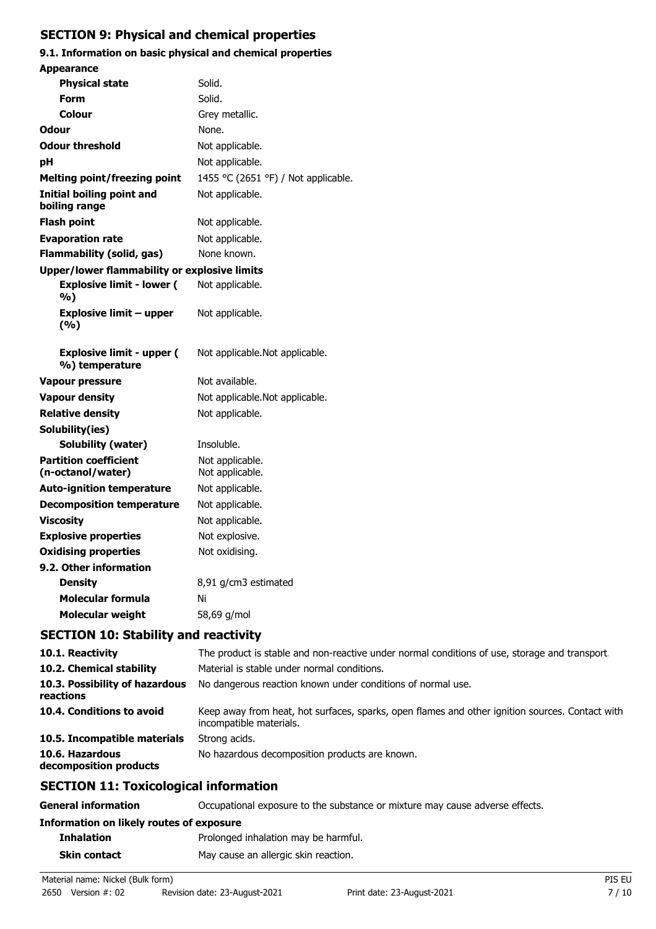# **SECTION 9: Physical and chemical properties**

# **9.1. Information on basic physical and chemical properties**

| <b>Appearance</b>                                  |                                     |
|----------------------------------------------------|-------------------------------------|
| <b>Physical state</b>                              | Solid.                              |
| <b>Form</b>                                        | Solid.                              |
| Colour                                             | Grey metallic.                      |
| Odour                                              | None.                               |
| <b>Odour threshold</b>                             | Not applicable.                     |
| рH                                                 | Not applicable.                     |
| <b>Melting point/freezing point</b>                | 1455 °C (2651 °F) / Not applicable. |
| <b>Initial boiling point and</b><br>boiling range  | Not applicable.                     |
| <b>Flash point</b>                                 | Not applicable.                     |
| <b>Evaporation rate</b>                            | Not applicable.                     |
| <b>Flammability (solid, gas)</b>                   | None known.                         |
| Upper/lower flammability or explosive limits       |                                     |
| <b>Explosive limit - lower (</b><br>%)             | Not applicable.                     |
| <b>Explosive limit - upper</b><br>(%)              | Not applicable.                     |
| <b>Explosive limit - upper (</b><br>%) temperature | Not applicable. Not applicable.     |
| <b>Vapour pressure</b>                             | Not available.                      |
| <b>Vapour density</b>                              | Not applicable. Not applicable.     |
| <b>Relative density</b>                            | Not applicable.                     |
| Solubility(ies)                                    |                                     |
| Solubility (water)                                 | Insoluble.                          |
| <b>Partition coefficient</b><br>(n-octanol/water)  | Not applicable.<br>Not applicable.  |
| <b>Auto-ignition temperature</b>                   | Not applicable.                     |
| <b>Decomposition temperature</b>                   | Not applicable.                     |
| <b>Viscosity</b>                                   | Not applicable.                     |
| <b>Explosive properties</b>                        | Not explosive.                      |
| <b>Oxidising properties</b>                        | Not oxidising.                      |
| 9.2. Other information                             |                                     |
| <b>Density</b>                                     | 8,91 g/cm3 estimated                |
| <b>Molecular formula</b>                           | Ni                                  |
| <b>Molecular weight</b>                            | 58,69 g/mol                         |
| <b>SECTION 10: Stability and reactivity</b>        |                                     |

| The product is stable and non-reactive under normal conditions of use, storage and transport.                              |
|----------------------------------------------------------------------------------------------------------------------------|
| Material is stable under normal conditions.                                                                                |
| No dangerous reaction known under conditions of normal use.                                                                |
| Keep away from heat, hot surfaces, sparks, open flames and other ignition sources. Contact with<br>incompatible materials. |
| Strong acids.                                                                                                              |
| No hazardous decomposition products are known.                                                                             |
|                                                                                                                            |

# **SECTION 11: Toxicological information**

| <b>General information</b>               | Occupational exposure to the substance or mixture may cause adverse effects. |  |
|------------------------------------------|------------------------------------------------------------------------------|--|
| Information on likely routes of exposure |                                                                              |  |
| <b>Inhalation</b>                        | Prolonged inhalation may be harmful.                                         |  |
| <b>Skin contact</b>                      | May cause an allergic skin reaction.                                         |  |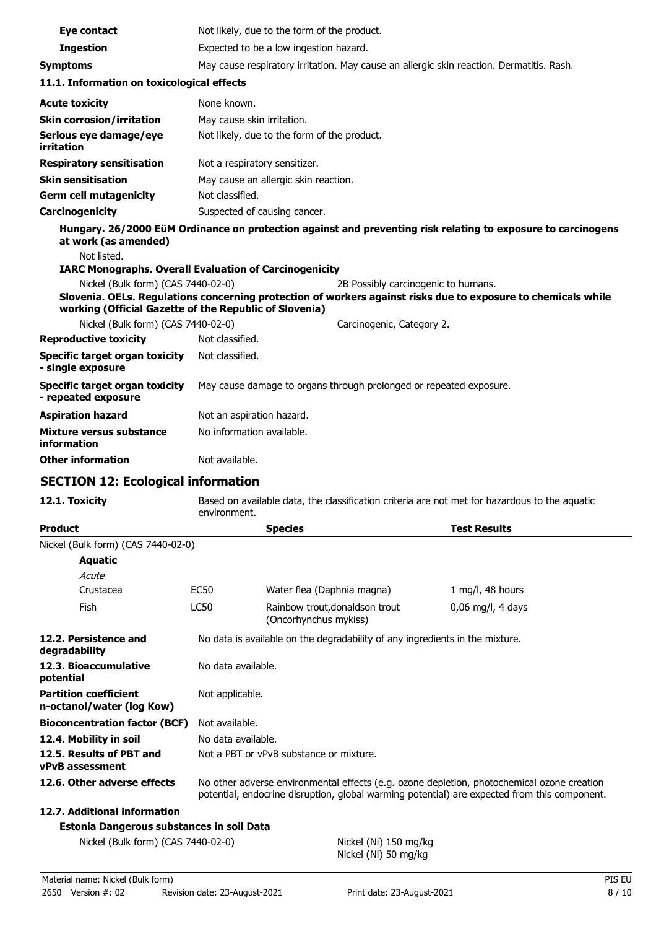| Eye contact                                                                                  | Not likely, due to the form of the product.                                                                   |                                                         |                                                                              |                                                                                                               |
|----------------------------------------------------------------------------------------------|---------------------------------------------------------------------------------------------------------------|---------------------------------------------------------|------------------------------------------------------------------------------|---------------------------------------------------------------------------------------------------------------|
| <b>Ingestion</b>                                                                             | Expected to be a low ingestion hazard.                                                                        |                                                         |                                                                              |                                                                                                               |
| <b>Symptoms</b>                                                                              |                                                                                                               |                                                         |                                                                              | May cause respiratory irritation. May cause an allergic skin reaction. Dermatitis. Rash.                      |
| 11.1. Information on toxicological effects                                                   |                                                                                                               |                                                         |                                                                              |                                                                                                               |
| <b>Acute toxicity</b>                                                                        | None known.                                                                                                   |                                                         |                                                                              |                                                                                                               |
| <b>Skin corrosion/irritation</b>                                                             | May cause skin irritation.                                                                                    |                                                         |                                                                              |                                                                                                               |
| Serious eye damage/eye<br><b>irritation</b>                                                  | Not likely, due to the form of the product.                                                                   |                                                         |                                                                              |                                                                                                               |
| <b>Respiratory sensitisation</b>                                                             | Not a respiratory sensitizer.                                                                                 |                                                         |                                                                              |                                                                                                               |
| <b>Skin sensitisation</b>                                                                    |                                                                                                               | May cause an allergic skin reaction.                    |                                                                              |                                                                                                               |
| <b>Germ cell mutagenicity</b>                                                                | Not classified.                                                                                               |                                                         |                                                                              |                                                                                                               |
| Carcinogenicity                                                                              | Suspected of causing cancer.                                                                                  |                                                         |                                                                              |                                                                                                               |
| at work (as amended)<br>Not listed.                                                          |                                                                                                               |                                                         |                                                                              | Hungary. 26/2000 EüM Ordinance on protection against and preventing risk relating to exposure to carcinogens  |
| <b>IARC Monographs. Overall Evaluation of Carcinogenicity</b>                                |                                                                                                               |                                                         |                                                                              |                                                                                                               |
| Nickel (Bulk form) (CAS 7440-02-0)<br>working (Official Gazette of the Republic of Slovenia) |                                                                                                               |                                                         | 2B Possibly carcinogenic to humans.                                          | Slovenia. OELs. Regulations concerning protection of workers against risks due to exposure to chemicals while |
| Nickel (Bulk form) (CAS 7440-02-0)                                                           |                                                                                                               |                                                         | Carcinogenic, Category 2.                                                    |                                                                                                               |
| <b>Reproductive toxicity</b>                                                                 | Not classified.                                                                                               |                                                         |                                                                              |                                                                                                               |
| <b>Specific target organ toxicity</b><br>- single exposure                                   | Not classified.                                                                                               |                                                         |                                                                              |                                                                                                               |
| <b>Specific target organ toxicity</b><br>- repeated exposure                                 |                                                                                                               |                                                         | May cause damage to organs through prolonged or repeated exposure.           |                                                                                                               |
| <b>Aspiration hazard</b>                                                                     | Not an aspiration hazard.                                                                                     |                                                         |                                                                              |                                                                                                               |
| <b>Mixture versus substance</b><br>information                                               | No information available.                                                                                     |                                                         |                                                                              |                                                                                                               |
| <b>Other information</b>                                                                     | Not available.                                                                                                |                                                         |                                                                              |                                                                                                               |
| <b>SECTION 12: Ecological information</b>                                                    |                                                                                                               |                                                         |                                                                              |                                                                                                               |
| 12.1. Toxicity                                                                               | Based on available data, the classification criteria are not met for hazardous to the aguatic<br>environment. |                                                         |                                                                              |                                                                                                               |
| <b>Product</b>                                                                               |                                                                                                               | <b>Species</b>                                          |                                                                              | <b>Test Results</b>                                                                                           |
| Nickel (Bulk form) (CAS 7440-02-0)                                                           |                                                                                                               |                                                         |                                                                              |                                                                                                               |
| <b>Aquatic</b>                                                                               |                                                                                                               |                                                         |                                                                              |                                                                                                               |
| Acute                                                                                        |                                                                                                               |                                                         |                                                                              |                                                                                                               |
| Crustacea                                                                                    | <b>EC50</b>                                                                                                   | Water flea (Daphnia magna)                              |                                                                              | 1 mg/l, 48 hours                                                                                              |
| Fish                                                                                         | LC50                                                                                                          | Rainbow trout, donaldson trout<br>(Oncorhynchus mykiss) |                                                                              | $0,06$ mg/l, 4 days                                                                                           |
| 12.2. Persistence and<br>degradability                                                       |                                                                                                               |                                                         | No data is available on the degradability of any ingredients in the mixture. |                                                                                                               |

| potential                                                 |                                                                                                                                                                                            |
|-----------------------------------------------------------|--------------------------------------------------------------------------------------------------------------------------------------------------------------------------------------------|
| <b>Partition coefficient</b><br>n-octanol/water (log Kow) | Not applicable.                                                                                                                                                                            |
| <b>Bioconcentration factor (BCF)</b>                      | Not available.                                                                                                                                                                             |
| 12.4. Mobility in soil                                    | No data available.                                                                                                                                                                         |
| 12.5. Results of PBT and<br>vPvB assessment               | Not a PBT or vPvB substance or mixture.                                                                                                                                                    |
| 12.6. Other adverse effects                               | No other adverse environmental effects (e.g. ozone depletion, photochemical ozone creation<br>potential, endocrine disruption, global warming potential) are expected from this component. |
| 12.7. Additional information                              |                                                                                                                                                                                            |

# **Estonia Dangerous substances in soil Data**

Nickel (Bulk form) (CAS 7440-02-0) Nickel (Ni) 150 mg/kg

**12.3. Bioaccumulative** No data available.

Nickel (Ni) 50 mg/kg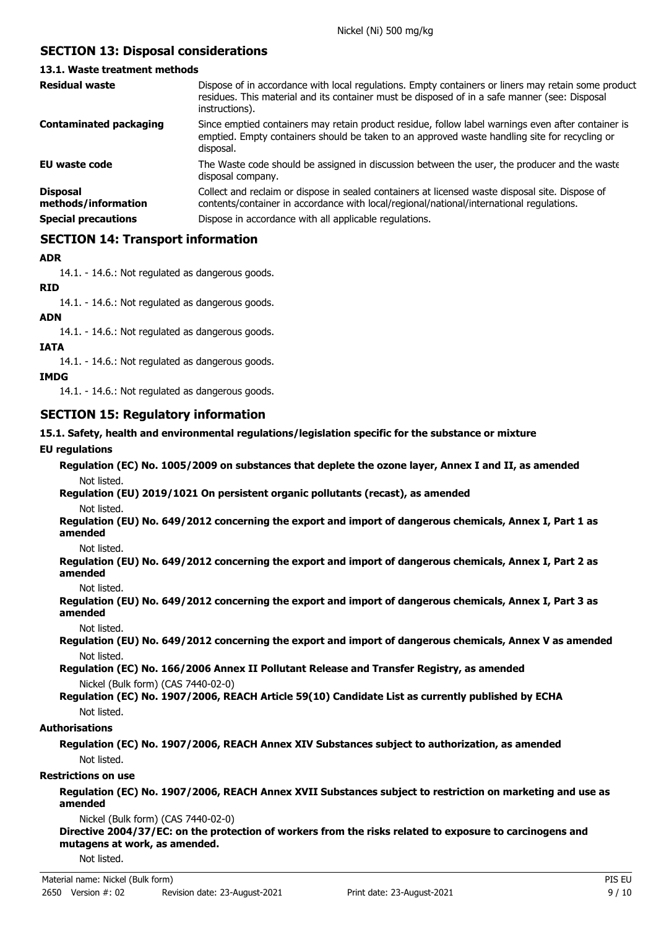# **SECTION 13: Disposal considerations**

## **13.1. Waste treatment methods**

| <b>Residual waste</b>                                                | Dispose of in accordance with local regulations. Empty containers or liners may retain some product<br>residues. This material and its container must be disposed of in a safe manner (see: Disposal<br>instructions).                                |
|----------------------------------------------------------------------|-------------------------------------------------------------------------------------------------------------------------------------------------------------------------------------------------------------------------------------------------------|
| <b>Contaminated packaging</b>                                        | Since emptied containers may retain product residue, follow label warnings even after container is<br>emptied. Empty containers should be taken to an approved waste handling site for recycling or<br>disposal.                                      |
| EU waste code                                                        | The Waste code should be assigned in discussion between the user, the producer and the waste<br>disposal company.                                                                                                                                     |
| <b>Disposal</b><br>methods/information<br><b>Special precautions</b> | Collect and reclaim or dispose in sealed containers at licensed waste disposal site. Dispose of<br>contents/container in accordance with local/regional/national/international regulations.<br>Dispose in accordance with all applicable regulations. |
|                                                                      |                                                                                                                                                                                                                                                       |

## **SECTION 14: Transport information**

## **ADR**

14.1. - 14.6.: Not regulated as dangerous goods.

## **RID**

14.1. - 14.6.: Not regulated as dangerous goods.

## **ADN**

14.1. - 14.6.: Not regulated as dangerous goods.

## **IATA**

14.1. - 14.6.: Not regulated as dangerous goods.

#### **IMDG**

14.1. - 14.6.: Not regulated as dangerous goods.

## **SECTION 15: Regulatory information**

## **15.1. Safety, health and environmental regulations/legislation specific for the substance or mixture**

## **EU regulations**

**Regulation (EC) No. 1005/2009 on substances that deplete the ozone layer, Annex I and II, as amended** Not listed.

**Regulation (EU) 2019/1021 On persistent organic pollutants (recast), as amended**

Not listed.

**Regulation (EU) No. 649/2012 concerning the export and import of dangerous chemicals, Annex I, Part 1 as amended**

Not listed.

**Regulation (EU) No. 649/2012 concerning the export and import of dangerous chemicals, Annex I, Part 2 as amended**

Not listed.

**Regulation (EU) No. 649/2012 concerning the export and import of dangerous chemicals, Annex I, Part 3 as amended**

Not listed.

**Regulation (EU) No. 649/2012 concerning the export and import of dangerous chemicals, Annex V as amended** Not listed.

**Regulation (EC) No. 166/2006 Annex II Pollutant Release and Transfer Registry, as amended** Nickel (Bulk form) (CAS 7440-02-0)

**Regulation (EC) No. 1907/2006, REACH Article 59(10) Candidate List as currently published by ECHA** Not listed.

## **Authorisations**

**Regulation (EC) No. 1907/2006, REACH Annex XIV Substances subject to authorization, as amended** Not listed.

## **Restrictions on use**

**Regulation (EC) No. 1907/2006, REACH Annex XVII Substances subject to restriction on marketing and use as amended**

Nickel (Bulk form) (CAS 7440-02-0)

**Directive 2004/37/EC: on the protection of workers from the risks related to exposure to carcinogens and mutagens at work, as amended.**

Not listed.